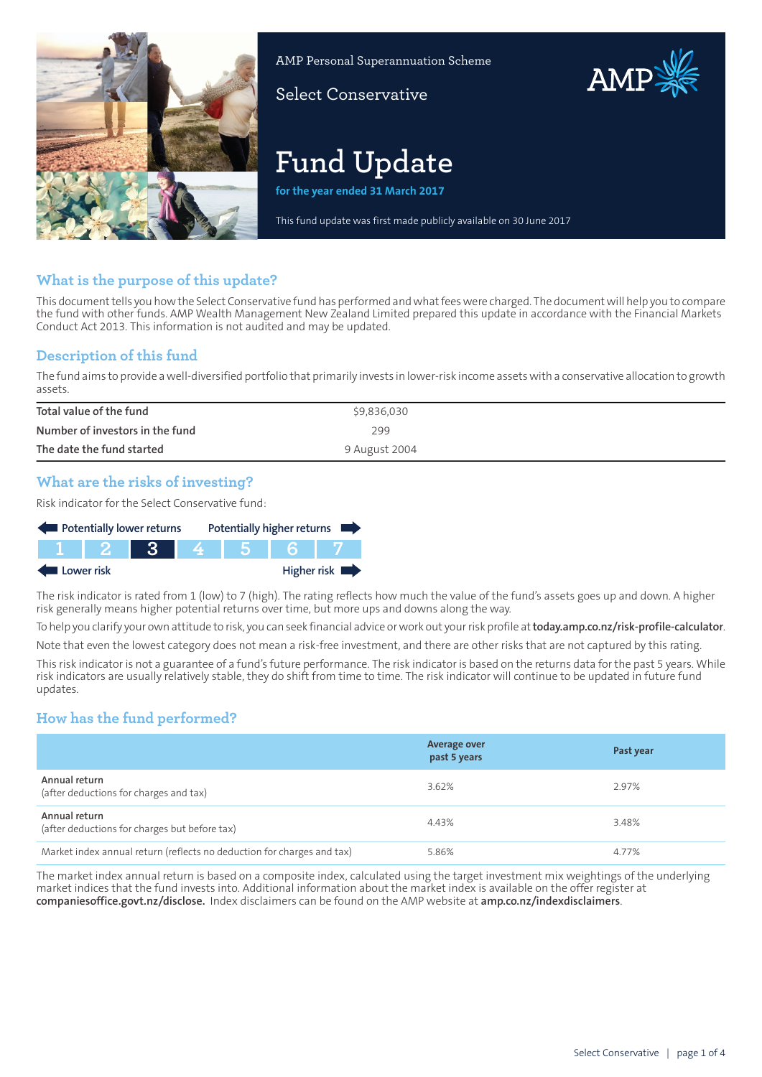

AMP Personal Superannuation Scheme

Select Conservative

# **Fund Update**

**for the year ended 31 March 2017**

This fund update was first made publicly available on 30 June 2017

AMP

## **What is the purpose of this update?**

This document tells you how the Select Conservative fund has performed and what fees were charged. The document will help you to compare the fund with other funds. AMP Wealth Management New Zealand Limited prepared this update in accordance with the Financial Markets Conduct Act 2013. This information is not audited and may be updated.

## **Description of this fund**

The fund aims to provide awell-diversified portfolio that primarily invests in lower-risk income assetswith a conservative allocation to growth assets.

| Total value of the fund         | \$9,836,030   |
|---------------------------------|---------------|
| Number of investors in the fund | 299           |
| The date the fund started       | 9 August 2004 |

## **What are the risks of investing?**

Risk indicator for the Select Conservative fund:



The risk indicator is rated from 1 (low) to 7 (high). The rating reflects how much the value of the fund's assets goes up and down. A higher risk generally means higher potential returns over time, but more ups and downs along the way.

To help you clarify your own attitude to risk, you can seek financial advice orwork out yourrisk profile at**[today.amp.co.nz/risk-profile-calculator](http://today.amp.co.nz/risk-profile-calculator)**. Note that even the lowest category does not mean a risk-free investment, and there are other risks that are not captured by this rating.

This risk indicator is not a guarantee of a fund's future performance. The risk indicator is based on the returns data for the past 5 years. While risk indicators are usually relatively stable, they do shift from time to time. The risk indicator will continue to be updated in future fund updates.

# **How has the fund performed?**

|                                                                        | <b>Average over</b><br>past 5 years | Past year |
|------------------------------------------------------------------------|-------------------------------------|-----------|
| Annual return<br>(after deductions for charges and tax)                | 3.62%                               | 2.97%     |
| Annual return<br>(after deductions for charges but before tax)         | 4.43%                               | 3.48%     |
| Market index annual return (reflects no deduction for charges and tax) | 5.86%                               | 4.77%     |

The market index annual return is based on a composite index, calculated using the target investment mix weightings of the underlying market indices that the fund invests into. Additional information about the market index is available on the offer register at **[companiesoffice.govt.nz/disclose](http://companiesoffice.govt.nz/disclose).** Index disclaimers can be found on the AMP website at **[amp.co.nz/indexdisclaimers](http://amp.co.nz/indexdisclaimers)**.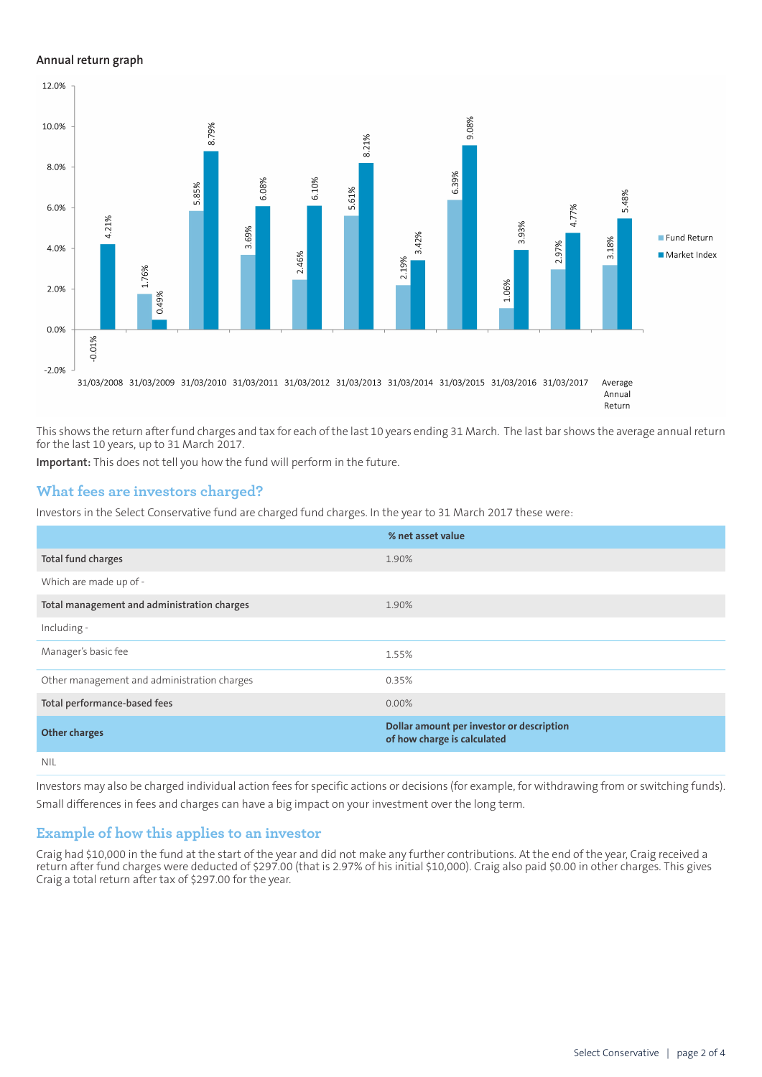#### **Annual return graph**



This shows the return after fund charges and tax for each of the last 10 years ending 31 March. The last bar shows the average annual return for the last 10 years, up to 31 March 2017.

**Important:** This does not tell you how the fund will perform in the future.

## **What fees are investors charged?**

Investors in the Select Conservative fund are charged fund charges. In the year to 31 March 2017 these were:

|                                             | % net asset value                                                        |
|---------------------------------------------|--------------------------------------------------------------------------|
| Total fund charges                          | 1.90%                                                                    |
| Which are made up of -                      |                                                                          |
| Total management and administration charges | 1.90%                                                                    |
| Including -                                 |                                                                          |
| Manager's basic fee                         | 1.55%                                                                    |
| Other management and administration charges | 0.35%                                                                    |
| Total performance-based fees                | $0.00\%$                                                                 |
| <b>Other charges</b>                        | Dollar amount per investor or description<br>of how charge is calculated |
| <b>NIL</b>                                  |                                                                          |

Investors may also be charged individual action fees for specific actions or decisions (for example, for withdrawing from or switching funds). Small differences in fees and charges can have a big impact on your investment over the long term.

### **Example of how this applies to an investor**

Craig had \$10,000 in the fund at the start of the year and did not make any further contributions. At the end of the year, Craig received a return after fund charges were deducted of \$297.00 (that is 2.97% of his initial \$10,000). Craig also paid \$0.00 in other charges. This gives Craig a total return after tax of \$297.00 for the year.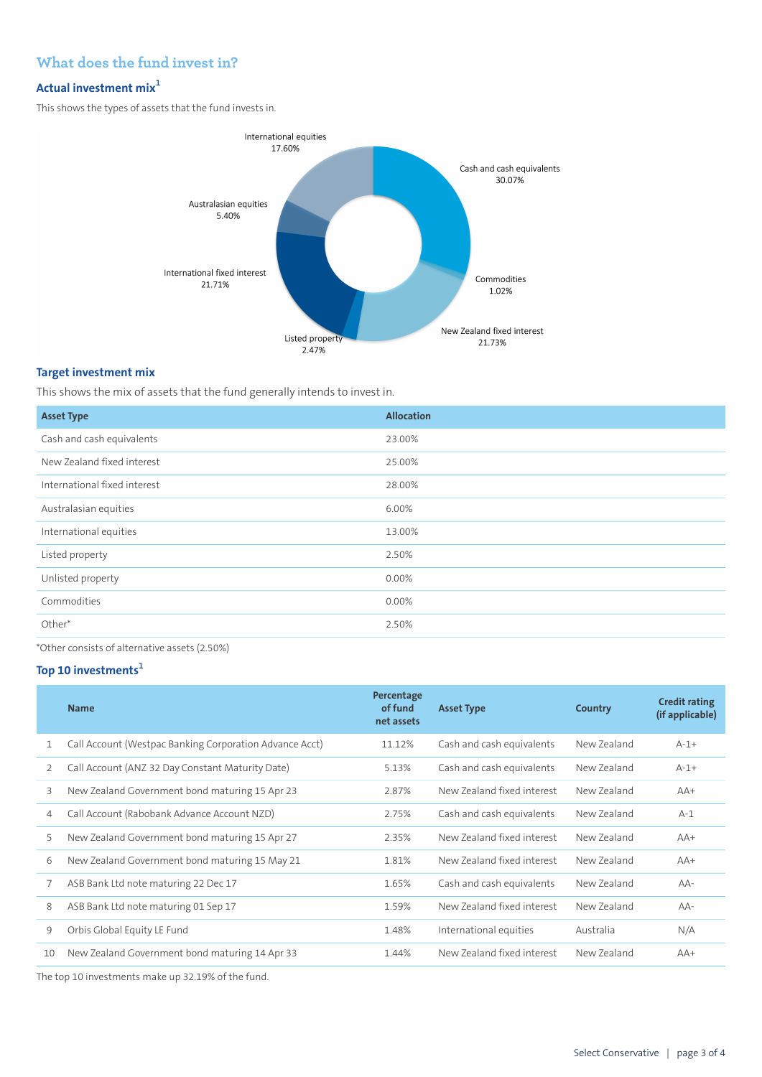## **What does the fund invest in?**

## **Actual investment mix<sup>1</sup>**

This shows the types of assets that the fund invests in.



### **Target investment mix**

This shows the mix of assets that the fund generally intends to invest in.

| <b>Asset Type</b>            | <b>Allocation</b> |
|------------------------------|-------------------|
| Cash and cash equivalents    | 23.00%            |
| New Zealand fixed interest   | 25.00%            |
| International fixed interest | 28.00%            |
| Australasian equities        | 6.00%             |
| International equities       | 13.00%            |
| Listed property              | 2.50%             |
| Unlisted property            | 0.00%             |
| Commodities                  | 0.00%             |
| Other*                       | 2.50%             |
|                              |                   |

\*Other consists of alternative assets (2.50%)

## **Top 10 investments<sup>1</sup>**

|    | <b>Name</b>                                             | Percentage<br>of fund<br>net assets | <b>Asset Type</b>          | Country     | <b>Credit rating</b><br>(if applicable) |
|----|---------------------------------------------------------|-------------------------------------|----------------------------|-------------|-----------------------------------------|
| 1  | Call Account (Westpac Banking Corporation Advance Acct) | 11.12%                              | Cash and cash equivalents  | New Zealand | $A-1+$                                  |
| 2  | Call Account (ANZ 32 Day Constant Maturity Date)        | 5.13%                               | Cash and cash equivalents  | New Zealand | $A-1+$                                  |
| 3  | New Zealand Government bond maturing 15 Apr 23          | 2.87%                               | New Zealand fixed interest | New Zealand | $AA+$                                   |
| 4  | Call Account (Rabobank Advance Account NZD)             | 2.75%                               | Cash and cash equivalents  | New Zealand | $A-1$                                   |
| 5  | New Zealand Government bond maturing 15 Apr 27          | 2.35%                               | New Zealand fixed interest | New Zealand | $AA+$                                   |
| 6  | New Zealand Government bond maturing 15 May 21          | 1.81%                               | New Zealand fixed interest | New Zealand | $AA+$                                   |
| 7  | ASB Bank Ltd note maturing 22 Dec 17                    | 1.65%                               | Cash and cash equivalents  | New Zealand | $AA-$                                   |
| 8  | ASB Bank Ltd note maturing 01 Sep 17                    | 1.59%                               | New Zealand fixed interest | New Zealand | AA-                                     |
| 9  | Orbis Global Equity LE Fund                             | 1.48%                               | International equities     | Australia   | N/A                                     |
| 10 | New Zealand Government bond maturing 14 Apr 33          | 1.44%                               | New Zealand fixed interest | New Zealand | $AA+$                                   |
|    |                                                         |                                     |                            |             |                                         |

The top 10 investments make up 32.19% of the fund.